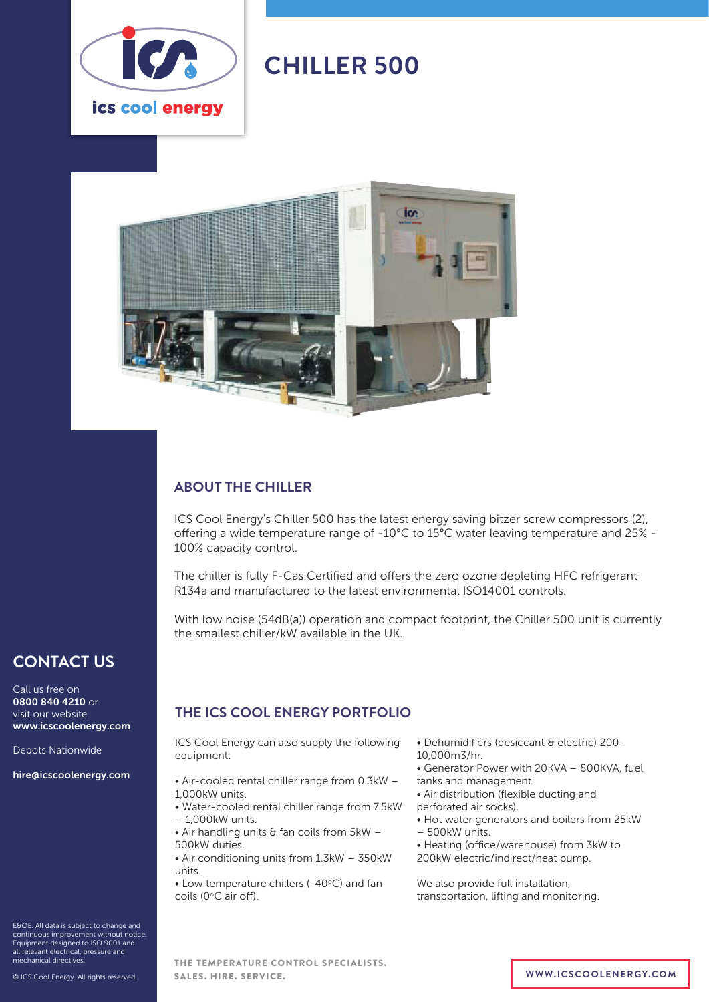

# **CHILLER 500**



### **ABOUT THE CHILLER**

ICS Cool Energy's Chiller 500 has the latest energy saving bitzer screw compressors (2), offering a wide temperature range of -10°C to 15°C water leaving temperature and 25% - 100% capacity control.

The chiller is fully F-Gas Certified and offers the zero ozone depleting HFC refrigerant R134a and manufactured to the latest environmental ISO14001 controls.

With low noise (54dB(a)) operation and compact footprint, the Chiller 500 unit is currently the smallest chiller/kW available in the UK.

## **CONTACT US**

Call us free on 0800 840 4210 or visit our website www.icscoolenergy.com

Depots Nationwide

hire@icscoolenergy.com

E&OE. All data is subject to change and continuous improvement without notice. Equipment designed to ISO 9001 and all relevant electrical, pressure and mechanical directives.

© ICS Cool Energy. All rights reserved.

### **THE ICS COOL ENERGY PORTFOLIO**

ICS Cool Energy can also supply the following equipment:

- Air-cooled rental chiller range from 0.3kW 1,000kW units.
- Water-cooled rental chiller range from 7.5kW – 1,000kW units.
- Air handling units  $\theta$  fan coils from  $5kW -$ 500kW duties.
- Air conditioning units from 1.3kW 350kW units.
- $\bullet$  Low temperature chillers (-40 $\degree$ C) and fan coils (0°C air off).
- Dehumidifiers (desiccant & electric) 200-
- 10,000m3/hr.
- Generator Power with 20KVA 800KVA, fuel tanks and management.
- Air distribution (flexible ducting and
- perforated air socks).
- Hot water generators and boilers from 25kW – 500kW units.
- 
- Heating (office/warehouse) from 3kW to 200kW electric/indirect/heat pump.

We also provide full installation, transportation, lifting and monitoring.

THE TEMPERATURE CONTROL SPECIALISTS. SALES. HIRE. SERVICE. **WWW.ICSCOOLENERGY.COM**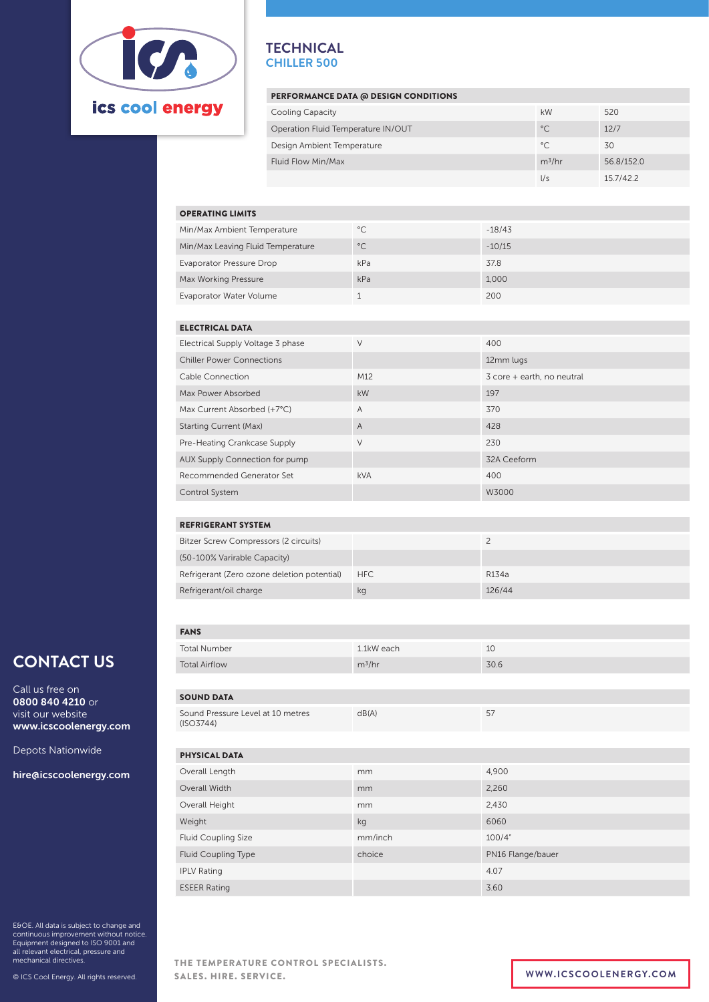

### **TECHNICAL CHILLER 500**

### PERFORMANCE DATA @ DESIGN CONDITIONS

| <b>Cooling Capacity</b>            | kW           | 520        |  |
|------------------------------------|--------------|------------|--|
| Operation Fluid Temperature IN/OUT | $^{\circ}$ C | 12/7       |  |
| Design Ambient Temperature         | °C           | 30         |  |
| Fluid Flow Min/Max                 | $m^3/hr$     | 56.8/152.0 |  |
|                                    | 1/s          | 15.7/42.2  |  |

#### OPERATING LIMITS

| Min/Max Ambient Temperature       | $^{\circ}$ C | $-18/43$ |
|-----------------------------------|--------------|----------|
| Min/Max Leaving Fluid Temperature | $^{\circ}$ C | $-10/15$ |
| <b>Evaporator Pressure Drop</b>   | kPa          | 37.8     |
| Max Working Pressure              | kPa          | 1.000    |
| Evaporator Water Volume           |              | 200      |

#### ELECTRICAL DATA

| Electrical Supply Voltage 3 phase | V               | 400                        |
|-----------------------------------|-----------------|----------------------------|
| <b>Chiller Power Connections</b>  |                 | 12mm lugs                  |
| Cable Connection                  | M <sub>12</sub> | 3 core + earth, no neutral |
| Max Power Absorbed                | kW              | 197                        |
| Max Current Absorbed (+7°C)       | $\overline{A}$  | 370                        |
| <b>Starting Current (Max)</b>     | A               | 428                        |
| Pre-Heating Crankcase Supply      | $\vee$          | 230                        |
| AUX Supply Connection for pump    |                 | 32A Ceeform                |
| Recommended Generator Set         | <b>kVA</b>      | 400                        |
| <b>Control System</b>             |                 | W3000                      |

### REFRIGERANT SYSTEM

| Bitzer Screw Compressors (2 circuits)       |            |                    |
|---------------------------------------------|------------|--------------------|
| (50-100% Varirable Capacity)                |            |                    |
| Refrigerant (Zero ozone deletion potential) | <b>HFC</b> | R <sub>134</sub> a |
| Refrigerant/oil charge                      | kg         | 126/44             |
|                                             |            |                    |

Call us free on 0800 840 4210 or visit our website www.icscoolenergy.com

Depots Nationwide

hire@icscoolenergy.com

E&OE. All data is subject to change and continuous improvement without notice. Equipment designed to ISO 9001 and all relevant electrical, pressure and mechanical directives.

SOUND DATA Sound Pressure Level at 10 metres (ISO3744)  $dB(A)$  57 FANS Total Number 1.1kW each 1.1kW each 10 **CONTACT US** Total Airflow m3/hr 30.6 PHYSICAL DATA Overall Length mm 4,900 Overall Width mm 2,260 Overall Height mm 2,430 Weight kg 6060 Fluid Coupling Size mm/inch 100/4" Fluid Coupling Type choice **choice** PN16 Flange/bauer IPLV Rating 4.07 ESEER Rating 3.60

> THE TEMPERATURE CONTROL SPECIALISTS. SALES. HIRE. SERVICE. **WWW.ICSCOOLENERGY.COM**